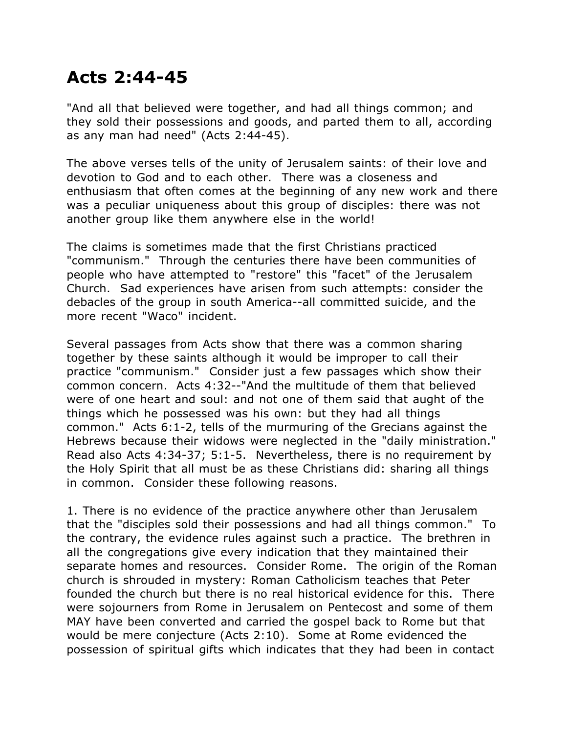## **Acts 2:44-45**

"And all that believed were together, and had all things common; and they sold their possessions and goods, and parted them to all, according as any man had need" (Acts 2:44-45).

The above verses tells of the unity of Jerusalem saints: of their love and devotion to God and to each other. There was a closeness and enthusiasm that often comes at the beginning of any new work and there was a peculiar uniqueness about this group of disciples: there was not another group like them anywhere else in the world!

The claims is sometimes made that the first Christians practiced "communism." Through the centuries there have been communities of people who have attempted to "restore" this "facet" of the Jerusalem Church. Sad experiences have arisen from such attempts: consider the debacles of the group in south America--all committed suicide, and the more recent "Waco" incident.

Several passages from Acts show that there was a common sharing together by these saints although it would be improper to call their practice "communism." Consider just a few passages which show their common concern. Acts 4:32--"And the multitude of them that believed were of one heart and soul: and not one of them said that aught of the things which he possessed was his own: but they had all things common." Acts 6:1-2, tells of the murmuring of the Grecians against the Hebrews because their widows were neglected in the "daily ministration." Read also Acts 4:34-37; 5:1-5. Nevertheless, there is no requirement by the Holy Spirit that all must be as these Christians did: sharing all things in common. Consider these following reasons.

1. There is no evidence of the practice anywhere other than Jerusalem that the "disciples sold their possessions and had all things common." To the contrary, the evidence rules against such a practice. The brethren in all the congregations give every indication that they maintained their separate homes and resources. Consider Rome. The origin of the Roman church is shrouded in mystery: Roman Catholicism teaches that Peter founded the church but there is no real historical evidence for this. There were sojourners from Rome in Jerusalem on Pentecost and some of them MAY have been converted and carried the gospel back to Rome but that would be mere conjecture (Acts 2:10). Some at Rome evidenced the possession of spiritual gifts which indicates that they had been in contact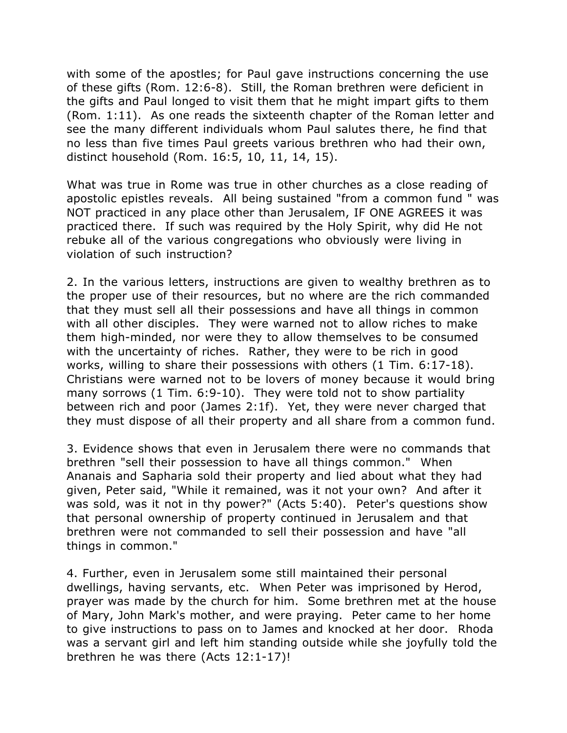with some of the apostles; for Paul gave instructions concerning the use of these gifts (Rom. 12:6-8). Still, the Roman brethren were deficient in the gifts and Paul longed to visit them that he might impart gifts to them (Rom. 1:11). As one reads the sixteenth chapter of the Roman letter and see the many different individuals whom Paul salutes there, he find that no less than five times Paul greets various brethren who had their own, distinct household (Rom. 16:5, 10, 11, 14, 15).

What was true in Rome was true in other churches as a close reading of apostolic epistles reveals. All being sustained "from a common fund " was NOT practiced in any place other than Jerusalem, IF ONE AGREES it was practiced there. If such was required by the Holy Spirit, why did He not rebuke all of the various congregations who obviously were living in violation of such instruction?

2. In the various letters, instructions are given to wealthy brethren as to the proper use of their resources, but no where are the rich commanded that they must sell all their possessions and have all things in common with all other disciples. They were warned not to allow riches to make them high-minded, nor were they to allow themselves to be consumed with the uncertainty of riches. Rather, they were to be rich in good works, willing to share their possessions with others (1 Tim. 6:17-18). Christians were warned not to be lovers of money because it would bring many sorrows (1 Tim. 6:9-10). They were told not to show partiality between rich and poor (James 2:1f). Yet, they were never charged that they must dispose of all their property and all share from a common fund.

3. Evidence shows that even in Jerusalem there were no commands that brethren "sell their possession to have all things common." When Ananais and Sapharia sold their property and lied about what they had given, Peter said, "While it remained, was it not your own? And after it was sold, was it not in thy power?" (Acts 5:40). Peter's questions show that personal ownership of property continued in Jerusalem and that brethren were not commanded to sell their possession and have "all things in common."

4. Further, even in Jerusalem some still maintained their personal dwellings, having servants, etc. When Peter was imprisoned by Herod, prayer was made by the church for him. Some brethren met at the house of Mary, John Mark's mother, and were praying. Peter came to her home to give instructions to pass on to James and knocked at her door. Rhoda was a servant girl and left him standing outside while she joyfully told the brethren he was there (Acts 12:1-17)!